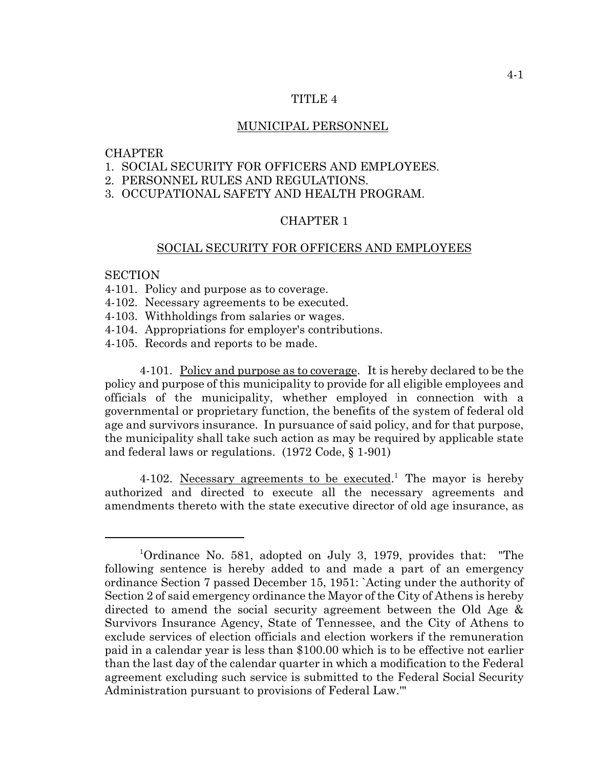#### TITLE 4

#### MUNICIPAL PERSONNEL

#### **CHAPTER**

- 1. SOCIAL SECURITY FOR OFFICERS AND EMPLOYEES.
- 2. PERSONNEL RULES AND REGULATIONS.
- 3. OCCUPATIONAL SAFETY AND HEALTH PROGRAM.

## CHAPTER 1

#### SOCIAL SECURITY FOR OFFICERS AND EMPLOYEES

### **SECTION**

- 4-101. Policy and purpose as to coverage.
- 4-102. Necessary agreements to be executed.
- 4-103. Withholdings from salaries or wages.
- 4-104. Appropriations for employer's contributions.
- 4-105. Records and reports to be made.

4-101. Policy and purpose as to coverage. It is hereby declared to be the policy and purpose of this municipality to provide for all eligible employees and officials of the municipality, whether employed in connection with a governmental or proprietary function, the benefits of the system of federal old age and survivors insurance. In pursuance of said policy, and for that purpose, the municipality shall take such action as may be required by applicable state and federal laws or regulations. (1972 Code, § 1-901)

4-102. Necessary agreements to be executed.<sup>1</sup> The mayor is hereby authorized and directed to execute all the necessary agreements and amendments thereto with the state executive director of old age insurance, as

<sup>&</sup>lt;sup>1</sup>Ordinance No. 581, adopted on July 3, 1979, provides that: "The following sentence is hereby added to and made a part of an emergency ordinance Section 7 passed December 15, 1951: `Acting under the authority of Section 2 of said emergency ordinance the Mayor of the City of Athens is hereby directed to amend the social security agreement between the Old Age & Survivors Insurance Agency, State of Tennessee, and the City of Athens to exclude services of election officials and election workers if the remuneration paid in a calendar year is less than \$100.00 which is to be effective not earlier than the last day of the calendar quarter in which a modification to the Federal agreement excluding such service is submitted to the Federal Social Security Administration pursuant to provisions of Federal Law.'"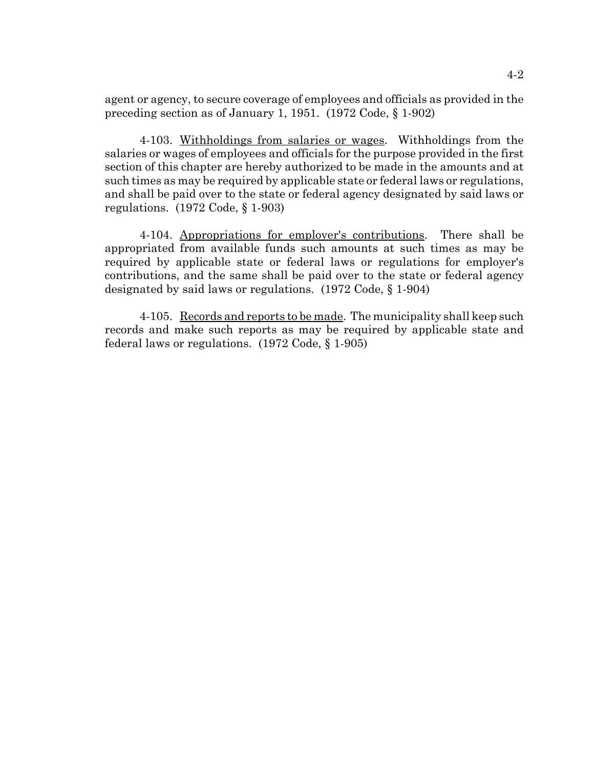agent or agency, to secure coverage of employees and officials as provided in the preceding section as of January 1, 1951. (1972 Code, § 1-902)

4-103. Withholdings from salaries or wages. Withholdings from the salaries or wages of employees and officials for the purpose provided in the first section of this chapter are hereby authorized to be made in the amounts and at such times as may be required by applicable state or federal laws or regulations, and shall be paid over to the state or federal agency designated by said laws or regulations. (1972 Code, § 1-903)

4-104. Appropriations for employer's contributions. There shall be appropriated from available funds such amounts at such times as may be required by applicable state or federal laws or regulations for employer's contributions, and the same shall be paid over to the state or federal agency designated by said laws or regulations. (1972 Code, § 1-904)

4-105. Records and reports to be made. The municipality shall keep such records and make such reports as may be required by applicable state and federal laws or regulations. (1972 Code, § 1-905)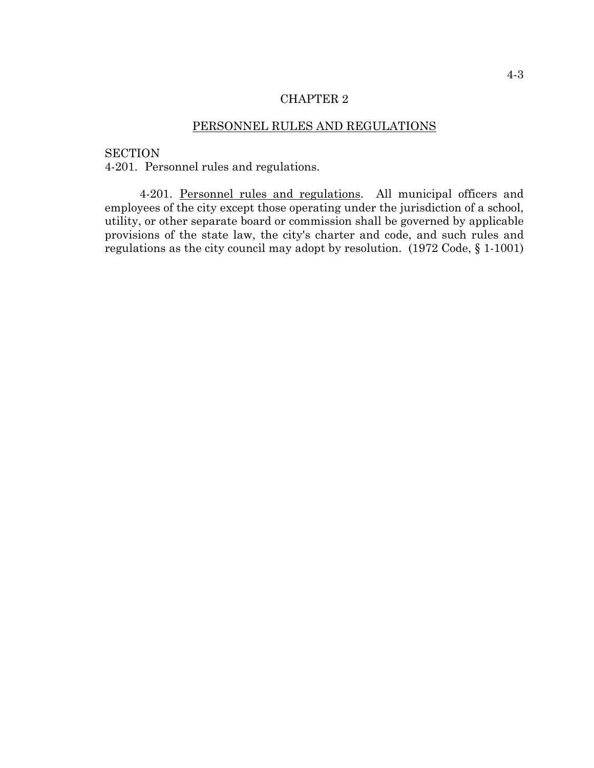## CHAPTER 2

# PERSONNEL RULES AND REGULATIONS

**SECTION** 

4-201. Personnel rules and regulations.

4-201. Personnel rules and regulations. All municipal officers and employees of the city except those operating under the jurisdiction of a school, utility, or other separate board or commission shall be governed by applicable provisions of the state law, the city's charter and code, and such rules and regulations as the city council may adopt by resolution. (1972 Code, § 1-1001)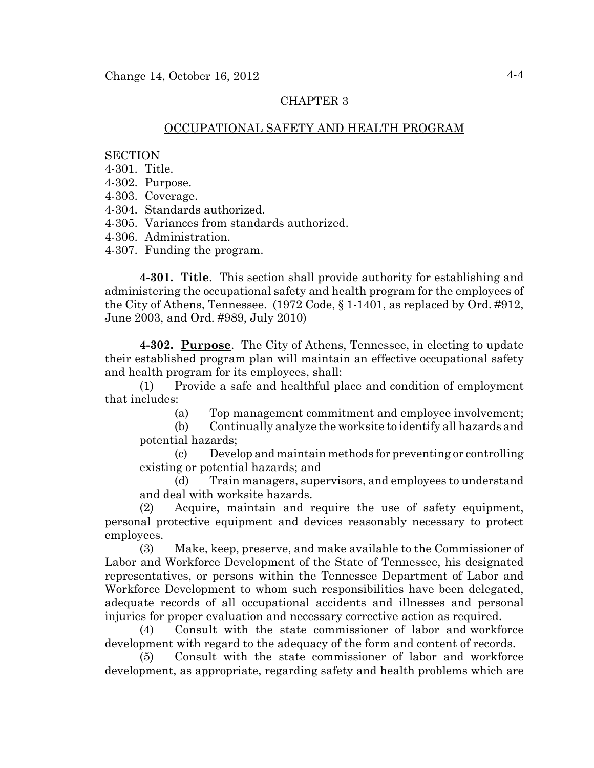# CHAPTER 3

### OCCUPATIONAL SAFETY AND HEALTH PROGRAM

### **SECTION**

- 4-301. Title.
- 4-302. Purpose.
- 4-303. Coverage.
- 4-304. Standards authorized.
- 4-305. Variances from standards authorized.
- 4-306. Administration.
- 4-307. Funding the program.

**4-301. Title**. This section shall provide authority for establishing and administering the occupational safety and health program for the employees of the City of Athens, Tennessee. (1972 Code, § 1-1401, as replaced by Ord. #912, June 2003, and Ord. #989, July 2010)

**4-302. Purpose**. The City of Athens, Tennessee, in electing to update their established program plan will maintain an effective occupational safety and health program for its employees, shall:

(1) Provide a safe and healthful place and condition of employment that includes:

(a) Top management commitment and employee involvement;

(b) Continually analyze the worksite to identify all hazards and potential hazards;

(c) Develop and maintain methods for preventing or controlling existing or potential hazards; and

(d) Train managers, supervisors, and employees to understand and deal with worksite hazards.

(2) Acquire, maintain and require the use of safety equipment, personal protective equipment and devices reasonably necessary to protect employees.

(3) Make, keep, preserve, and make available to the Commissioner of Labor and Workforce Development of the State of Tennessee, his designated representatives, or persons within the Tennessee Department of Labor and Workforce Development to whom such responsibilities have been delegated, adequate records of all occupational accidents and illnesses and personal injuries for proper evaluation and necessary corrective action as required.

(4) Consult with the state commissioner of labor and workforce development with regard to the adequacy of the form and content of records.

(5) Consult with the state commissioner of labor and workforce development, as appropriate, regarding safety and health problems which are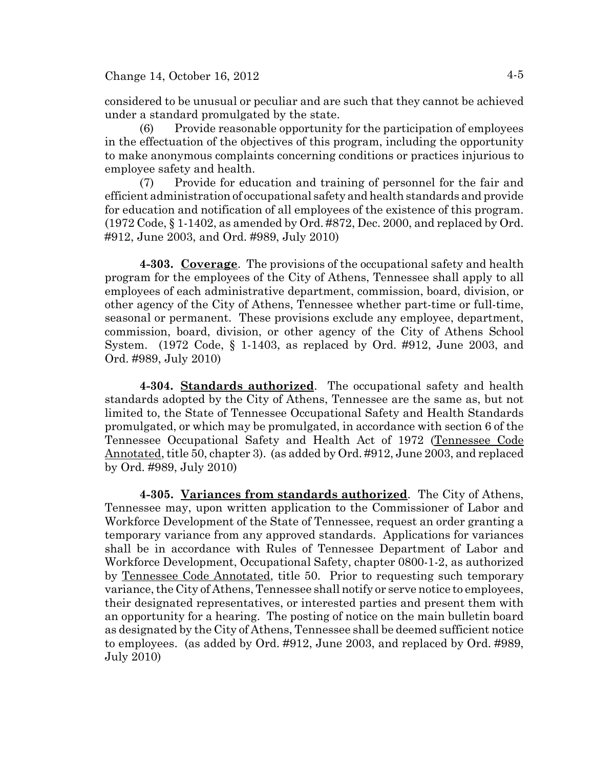considered to be unusual or peculiar and are such that they cannot be achieved under a standard promulgated by the state.

(6) Provide reasonable opportunity for the participation of employees in the effectuation of the objectives of this program, including the opportunity to make anonymous complaints concerning conditions or practices injurious to employee safety and health.

(7) Provide for education and training of personnel for the fair and efficient administration of occupational safety and health standards and provide for education and notification of all employees of the existence of this program. (1972 Code, § 1-1402, as amended by Ord. #872, Dec. 2000, and replaced by Ord. #912, June 2003, and Ord. #989, July 2010)

**4-303. Coverage**. The provisions of the occupational safety and health program for the employees of the City of Athens, Tennessee shall apply to all employees of each administrative department, commission, board, division, or other agency of the City of Athens, Tennessee whether part-time or full-time, seasonal or permanent. These provisions exclude any employee, department, commission, board, division, or other agency of the City of Athens School System. (1972 Code, § 1-1403, as replaced by Ord. #912, June 2003, and Ord. #989, July 2010)

**4-304. Standards authorized**. The occupational safety and health standards adopted by the City of Athens, Tennessee are the same as, but not limited to, the State of Tennessee Occupational Safety and Health Standards promulgated, or which may be promulgated, in accordance with section 6 of the Tennessee Occupational Safety and Health Act of 1972 (Tennessee Code Annotated, title 50, chapter 3). (as added by Ord. #912, June 2003, and replaced by Ord. #989, July 2010)

**4-305. Variances from standards authorized**. The City of Athens, Tennessee may, upon written application to the Commissioner of Labor and Workforce Development of the State of Tennessee, request an order granting a temporary variance from any approved standards. Applications for variances shall be in accordance with Rules of Tennessee Department of Labor and Workforce Development, Occupational Safety, chapter 0800-1-2, as authorized by Tennessee Code Annotated, title 50. Prior to requesting such temporary variance, the City of Athens, Tennessee shall notify or serve notice to employees, their designated representatives, or interested parties and present them with an opportunity for a hearing. The posting of notice on the main bulletin board as designated by the City of Athens, Tennessee shall be deemed sufficient notice to employees. (as added by Ord. #912, June 2003, and replaced by Ord. #989, July 2010)